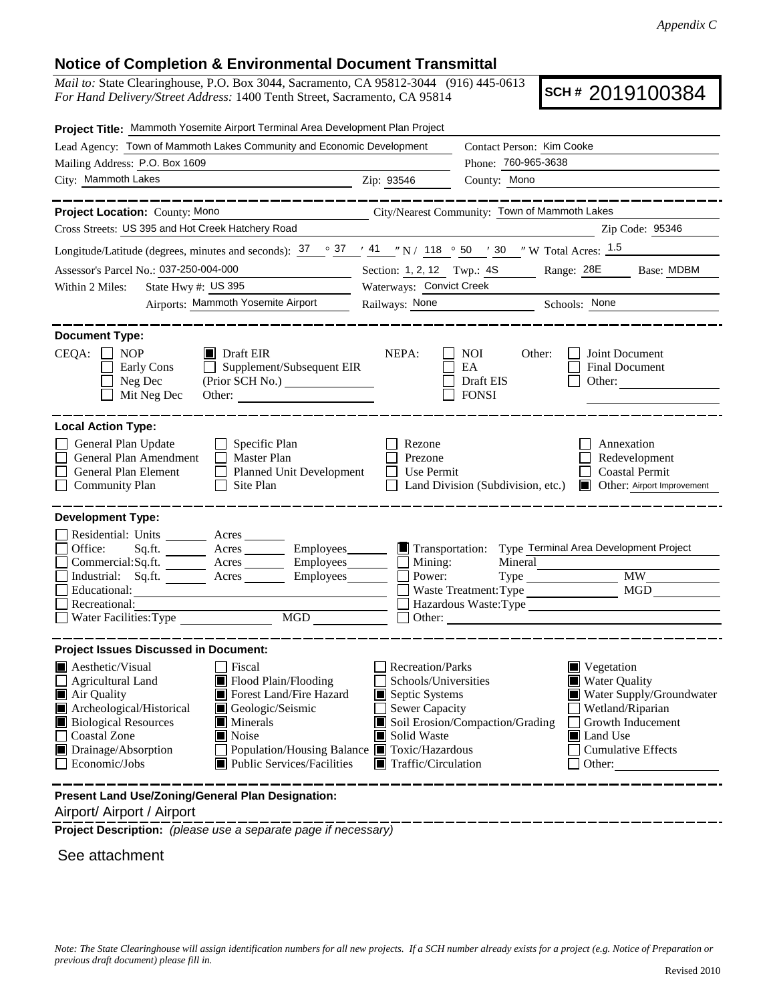## **Notice of Completion & Environmental Document Transmittal**

*Mail to:* State Clearinghouse, P.O. Box 3044, Sacramento, CA 95812-3044 (916) 445-0613 *For Hand Delivery/Street Address:* 1400 Tenth Street, Sacramento, CA 95814

**SCH #** 2019100384

| Lead Agency: Town of Mammoth Lakes Community and Economic Development<br>Contact Person: Kim Cooke<br>Phone: 760-965-3638<br>Mailing Address: P.O. Box 1609<br>City: Mammoth Lakes<br>Zip: 93546<br>County: Mono<br>___________<br>City/Nearest Community: Town of Mammoth Lakes<br>Project Location: County: Mono<br>Cross Streets: US 395 and Hot Creek Hatchery Road<br>Zip Code: 95346<br>Longitude/Latitude (degrees, minutes and seconds): $\frac{37}{2}$ $\frac{37}{4}$ $\frac{41}{4}$ $\frac{1}{2}$ N / 118 $\degree$ 50 $\degree$ 30 $\degree$ W Total Acres: $\frac{1.5}{2}$<br>Assessor's Parcel No.: 037-250-004-000<br>Section: 1, 2, 12 Twp.: 4S Range: 28E Base: MDBM<br>Waterways: Convict Creek<br>State Hwy #: US 395<br>Within 2 Miles:<br>Airports: Mammoth Yosemite Airport<br>Railways: None<br>Schools: None<br><b>Document Type:</b><br>$CEQA: \Box NP$<br>$\blacksquare$ Draft EIR<br>Joint Document<br>NEPA:<br>NOI<br>Other:<br>Supplement/Subsequent EIR<br>EA<br>Early Cons<br><b>Final Document</b><br>$\mathbf{L}$<br>Neg Dec<br>Draft EIS<br>Other:<br>Mit Neg Dec<br><b>FONSI</b><br><b>Local Action Type:</b><br>General Plan Update<br>$\Box$ Specific Plan<br>Rezone<br>Annexation<br>General Plan Amendment<br>Master Plan<br>Redevelopment<br>Prezone<br>General Plan Element<br>Planned Unit Development<br><b>Coastal Permit</b><br>Use Permit<br><b>Community Plan</b><br>Site Plan<br>Land Division (Subdivision, etc.)<br>Other: Airport Improvement<br><b>Development Type:</b><br>Residential: Units ________ Acres _______<br>Type Terminal Area Development Project<br>Office:<br>Acres Employees<br>$\blacksquare$ Transportation:<br>Sq.ft.<br>Mineral<br>Mining:<br>Acres Employees<br>Commercial:Sq.ft.<br><b>MW</b><br>Industrial: Sq.ft.<br>Acres<br>Power:<br>MGD<br>Educational:<br>Waste Treatment: Type<br>Hazardous Waste:Type<br>Recreational:<br>MGD<br>Water Facilities: Type<br>Other:<br><b>Project Issues Discussed in Document:</b><br>$\blacksquare$ Aesthetic/Visual<br>Recreation/Parks<br><b>Fiscal</b><br>Vegetation<br><b>Water Quality</b><br>Agricultural Land<br>Flood Plain/Flooding<br>Schools/Universities<br>Forest Land/Fire Hazard<br>Septic Systems<br>Water Supply/Groundwater<br>Air Quality<br>Archeological/Historical<br>Geologic/Seismic<br><b>Sewer Capacity</b><br>Wetland/Riparian<br>Soil Erosion/Compaction/Grading<br><b>Biological Resources</b><br>Minerals<br>Growth Inducement<br>Coastal Zone<br>Noise<br>Solid Waste<br>Land Use<br>Population/Housing Balance ■ Toxic/Hazardous | Project Title: Mammoth Yosemite Airport Terminal Area Development Plan Project |  |                           |  |
|-------------------------------------------------------------------------------------------------------------------------------------------------------------------------------------------------------------------------------------------------------------------------------------------------------------------------------------------------------------------------------------------------------------------------------------------------------------------------------------------------------------------------------------------------------------------------------------------------------------------------------------------------------------------------------------------------------------------------------------------------------------------------------------------------------------------------------------------------------------------------------------------------------------------------------------------------------------------------------------------------------------------------------------------------------------------------------------------------------------------------------------------------------------------------------------------------------------------------------------------------------------------------------------------------------------------------------------------------------------------------------------------------------------------------------------------------------------------------------------------------------------------------------------------------------------------------------------------------------------------------------------------------------------------------------------------------------------------------------------------------------------------------------------------------------------------------------------------------------------------------------------------------------------------------------------------------------------------------------------------------------------------------------------------------------------------------------------------------------------------------------------------------------------------------------------------------------------------------------------------------------------------------------------------------------------------------------------------------------------------------------------------------------------------------------------------------------------------------------------------------------------------------------------------------------------------------------------|--------------------------------------------------------------------------------|--|---------------------------|--|
|                                                                                                                                                                                                                                                                                                                                                                                                                                                                                                                                                                                                                                                                                                                                                                                                                                                                                                                                                                                                                                                                                                                                                                                                                                                                                                                                                                                                                                                                                                                                                                                                                                                                                                                                                                                                                                                                                                                                                                                                                                                                                                                                                                                                                                                                                                                                                                                                                                                                                                                                                                                     |                                                                                |  |                           |  |
|                                                                                                                                                                                                                                                                                                                                                                                                                                                                                                                                                                                                                                                                                                                                                                                                                                                                                                                                                                                                                                                                                                                                                                                                                                                                                                                                                                                                                                                                                                                                                                                                                                                                                                                                                                                                                                                                                                                                                                                                                                                                                                                                                                                                                                                                                                                                                                                                                                                                                                                                                                                     |                                                                                |  |                           |  |
|                                                                                                                                                                                                                                                                                                                                                                                                                                                                                                                                                                                                                                                                                                                                                                                                                                                                                                                                                                                                                                                                                                                                                                                                                                                                                                                                                                                                                                                                                                                                                                                                                                                                                                                                                                                                                                                                                                                                                                                                                                                                                                                                                                                                                                                                                                                                                                                                                                                                                                                                                                                     |                                                                                |  |                           |  |
|                                                                                                                                                                                                                                                                                                                                                                                                                                                                                                                                                                                                                                                                                                                                                                                                                                                                                                                                                                                                                                                                                                                                                                                                                                                                                                                                                                                                                                                                                                                                                                                                                                                                                                                                                                                                                                                                                                                                                                                                                                                                                                                                                                                                                                                                                                                                                                                                                                                                                                                                                                                     |                                                                                |  |                           |  |
|                                                                                                                                                                                                                                                                                                                                                                                                                                                                                                                                                                                                                                                                                                                                                                                                                                                                                                                                                                                                                                                                                                                                                                                                                                                                                                                                                                                                                                                                                                                                                                                                                                                                                                                                                                                                                                                                                                                                                                                                                                                                                                                                                                                                                                                                                                                                                                                                                                                                                                                                                                                     |                                                                                |  |                           |  |
|                                                                                                                                                                                                                                                                                                                                                                                                                                                                                                                                                                                                                                                                                                                                                                                                                                                                                                                                                                                                                                                                                                                                                                                                                                                                                                                                                                                                                                                                                                                                                                                                                                                                                                                                                                                                                                                                                                                                                                                                                                                                                                                                                                                                                                                                                                                                                                                                                                                                                                                                                                                     |                                                                                |  |                           |  |
|                                                                                                                                                                                                                                                                                                                                                                                                                                                                                                                                                                                                                                                                                                                                                                                                                                                                                                                                                                                                                                                                                                                                                                                                                                                                                                                                                                                                                                                                                                                                                                                                                                                                                                                                                                                                                                                                                                                                                                                                                                                                                                                                                                                                                                                                                                                                                                                                                                                                                                                                                                                     |                                                                                |  |                           |  |
|                                                                                                                                                                                                                                                                                                                                                                                                                                                                                                                                                                                                                                                                                                                                                                                                                                                                                                                                                                                                                                                                                                                                                                                                                                                                                                                                                                                                                                                                                                                                                                                                                                                                                                                                                                                                                                                                                                                                                                                                                                                                                                                                                                                                                                                                                                                                                                                                                                                                                                                                                                                     |                                                                                |  |                           |  |
|                                                                                                                                                                                                                                                                                                                                                                                                                                                                                                                                                                                                                                                                                                                                                                                                                                                                                                                                                                                                                                                                                                                                                                                                                                                                                                                                                                                                                                                                                                                                                                                                                                                                                                                                                                                                                                                                                                                                                                                                                                                                                                                                                                                                                                                                                                                                                                                                                                                                                                                                                                                     |                                                                                |  |                           |  |
|                                                                                                                                                                                                                                                                                                                                                                                                                                                                                                                                                                                                                                                                                                                                                                                                                                                                                                                                                                                                                                                                                                                                                                                                                                                                                                                                                                                                                                                                                                                                                                                                                                                                                                                                                                                                                                                                                                                                                                                                                                                                                                                                                                                                                                                                                                                                                                                                                                                                                                                                                                                     |                                                                                |  |                           |  |
|                                                                                                                                                                                                                                                                                                                                                                                                                                                                                                                                                                                                                                                                                                                                                                                                                                                                                                                                                                                                                                                                                                                                                                                                                                                                                                                                                                                                                                                                                                                                                                                                                                                                                                                                                                                                                                                                                                                                                                                                                                                                                                                                                                                                                                                                                                                                                                                                                                                                                                                                                                                     |                                                                                |  |                           |  |
|                                                                                                                                                                                                                                                                                                                                                                                                                                                                                                                                                                                                                                                                                                                                                                                                                                                                                                                                                                                                                                                                                                                                                                                                                                                                                                                                                                                                                                                                                                                                                                                                                                                                                                                                                                                                                                                                                                                                                                                                                                                                                                                                                                                                                                                                                                                                                                                                                                                                                                                                                                                     |                                                                                |  |                           |  |
|                                                                                                                                                                                                                                                                                                                                                                                                                                                                                                                                                                                                                                                                                                                                                                                                                                                                                                                                                                                                                                                                                                                                                                                                                                                                                                                                                                                                                                                                                                                                                                                                                                                                                                                                                                                                                                                                                                                                                                                                                                                                                                                                                                                                                                                                                                                                                                                                                                                                                                                                                                                     |                                                                                |  |                           |  |
|                                                                                                                                                                                                                                                                                                                                                                                                                                                                                                                                                                                                                                                                                                                                                                                                                                                                                                                                                                                                                                                                                                                                                                                                                                                                                                                                                                                                                                                                                                                                                                                                                                                                                                                                                                                                                                                                                                                                                                                                                                                                                                                                                                                                                                                                                                                                                                                                                                                                                                                                                                                     |                                                                                |  |                           |  |
| Public Services/Facilities<br>Economic/Jobs<br>Traffic/Circulation<br>Other:<br>Present Land Use/Zoning/General Plan Designation:                                                                                                                                                                                                                                                                                                                                                                                                                                                                                                                                                                                                                                                                                                                                                                                                                                                                                                                                                                                                                                                                                                                                                                                                                                                                                                                                                                                                                                                                                                                                                                                                                                                                                                                                                                                                                                                                                                                                                                                                                                                                                                                                                                                                                                                                                                                                                                                                                                                   | Drainage/Absorption                                                            |  | <b>Cumulative Effects</b> |  |

Airport/ Airport / Airport

**Project Description:** *(please use a separate page if necessary)*

See attachment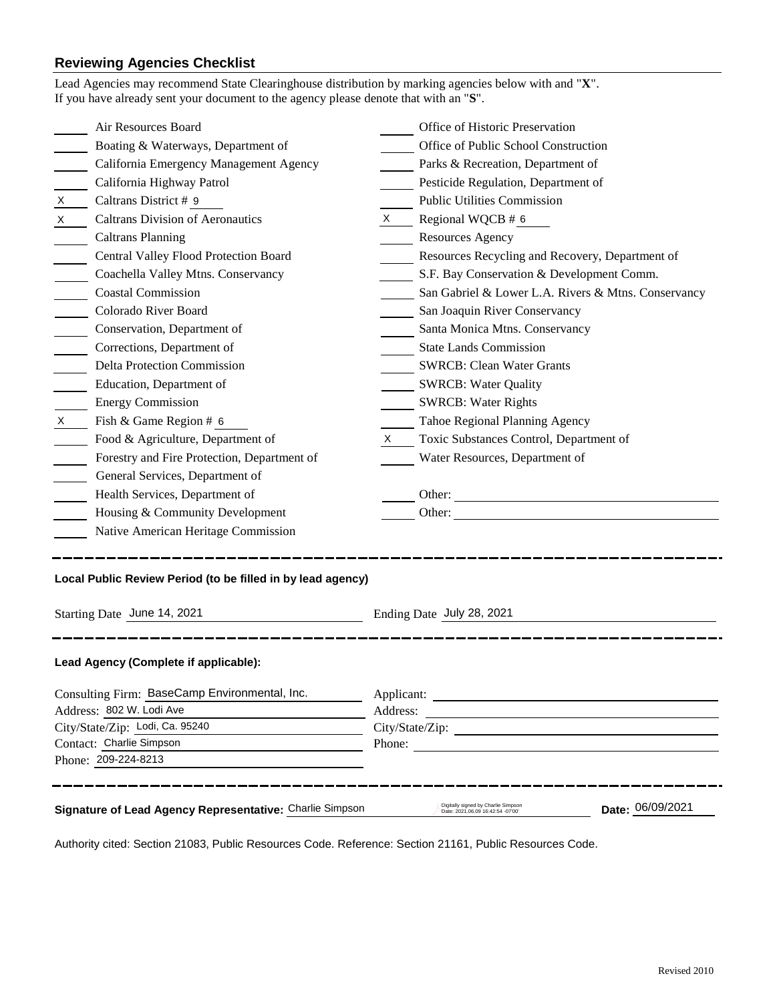## **Reviewing Agencies Checklist**

| Lead Agencies may recommend State Clearinghouse distribution by marking agencies below with and "X".<br>If you have already sent your document to the agency please denote that with an "S".                                                                                                                                                                                                                                                                                                                                                                    |                                                                                                                                                                                                                                                                                                                                                                                                                                                                                                                                                                                                                  |  |  |
|-----------------------------------------------------------------------------------------------------------------------------------------------------------------------------------------------------------------------------------------------------------------------------------------------------------------------------------------------------------------------------------------------------------------------------------------------------------------------------------------------------------------------------------------------------------------|------------------------------------------------------------------------------------------------------------------------------------------------------------------------------------------------------------------------------------------------------------------------------------------------------------------------------------------------------------------------------------------------------------------------------------------------------------------------------------------------------------------------------------------------------------------------------------------------------------------|--|--|
| Air Resources Board<br>Boating & Waterways, Department of<br>California Emergency Management Agency<br>California Highway Patrol<br>$\mathsf{X}$<br>Caltrans District # 9<br><b>Caltrans Division of Aeronautics</b><br>X —<br><b>Caltrans Planning</b><br>Central Valley Flood Protection Board<br>Coachella Valley Mtns. Conservancy<br><b>Coastal Commission</b><br>Colorado River Board<br>Conservation, Department of<br>Corrections, Department of<br>Delta Protection Commission<br>Education, Department of<br><b>Energy Commission</b><br>$\mathsf{X}$ | Office of Historic Preservation<br>Office of Public School Construction<br>Parks & Recreation, Department of<br>Pesticide Regulation, Department of<br><b>Public Utilities Commission</b><br>$X \qquad$ Regional WQCB # 6<br><b>Resources Agency</b><br>Resources Recycling and Recovery, Department of<br>S.F. Bay Conservation & Development Comm.<br>San Gabriel & Lower L.A. Rivers & Mtns. Conservancy<br>San Joaquin River Conservancy<br>Santa Monica Mtns. Conservancy<br><b>State Lands Commission</b><br><b>SWRCB: Clean Water Grants</b><br><b>SWRCB: Water Quality</b><br><b>SWRCB: Water Rights</b> |  |  |
| Fish & Game Region # 6<br>Food & Agriculture, Department of<br>Forestry and Fire Protection, Department of<br>General Services, Department of<br>Health Services, Department of<br>Housing & Community Development<br>Native American Heritage Commission                                                                                                                                                                                                                                                                                                       | Tahoe Regional Planning Agency<br>Toxic Substances Control, Department of<br>X —<br>Water Resources, Department of<br>Other:<br>Other:                                                                                                                                                                                                                                                                                                                                                                                                                                                                           |  |  |
| Local Public Review Period (to be filled in by lead agency)<br>Starting Date June 14, 2021<br>Ending Date July 28, 2021                                                                                                                                                                                                                                                                                                                                                                                                                                         |                                                                                                                                                                                                                                                                                                                                                                                                                                                                                                                                                                                                                  |  |  |
| Lead Agency (Complete if applicable):<br>Consulting Firm: BaseCamp Environmental, Inc.<br>Address: 802 W. Lodi Ave                                                                                                                                                                                                                                                                                                                                                                                                                                              | Address:                                                                                                                                                                                                                                                                                                                                                                                                                                                                                                                                                                                                         |  |  |
| City/State/Zip: Lodi, Ca. 95240<br>Contact: Charlie Simpson<br>Phone: 209-224-8213                                                                                                                                                                                                                                                                                                                                                                                                                                                                              | City/State/Zip:<br>Phone:                                                                                                                                                                                                                                                                                                                                                                                                                                                                                                                                                                                        |  |  |
| Signature of Lead Agency Representative: Charlie Simpson                                                                                                                                                                                                                                                                                                                                                                                                                                                                                                        | Digitally signed by Charlie Simpson<br>Date: 06/09/2021<br>Date: 2021.06.09 16:42:54 -07'00'                                                                                                                                                                                                                                                                                                                                                                                                                                                                                                                     |  |  |

Authority cited: Section 21083, Public Resources Code. Reference: Section 21161, Public Resources Code.